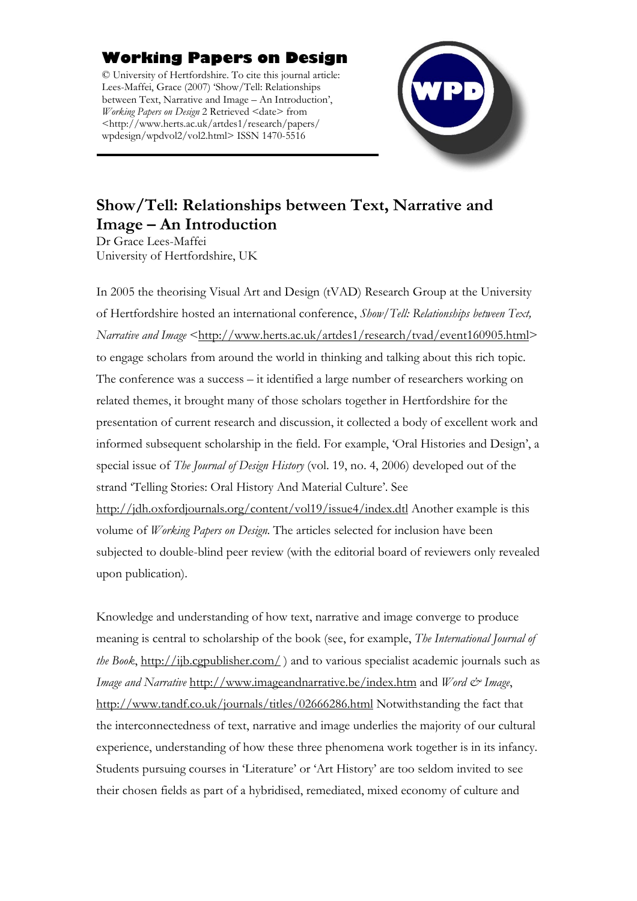## **Working Papers on Design**

© University of Hertfordshire. To cite this journal article: Lees-Maffei, Grace (2007) 'Show/Tell: Relationships between Text, Narrative and Image – An Introduction', *Working Papers on Design* 2 Retrieved <date> from <http://www.herts.ac.uk/artdes1/research/papers/ wpdesign/wpdvol2/vol2.html> ISSN 1470-5516



## **Show/Tell: Relationships between Text, Narrative and Image – An Introduction**

Dr Grace Lees-Maffei University of Hertfordshire, UK

In 2005 the theorising Visual Art and Design (tVAD) Research Group at the University of Hertfordshire hosted an international conference, *Show/Tell: Relationships between Text, Narrative and Image* [<http://www.herts.ac.uk/artdes1/research/tvad/event160905.html](http://www.herts.ac.uk/artdes1/research/tvad/event160905.html)> to engage scholars from around the world in thinking and talking about this rich topic. The conference was a success – it identified a large number of researchers working on related themes, it brought many of those scholars together in Hertfordshire for the presentation of current research and discussion, it collected a body of excellent work and informed subsequent scholarship in the field. For example, 'Oral Histories and Design', a special issue of *The Journal of Design History* (vol. 19, no. 4, 2006) developed out of the strand 'Telling Stories: Oral History And Material Culture'. See <http://jdh.oxfordjournals.org/content/vol19/issue4/index.dtl> Another example is this volume of *Working Papers on Design*. The articles selected for inclusion have been subjected to double-blind peer review (with the editorial board of reviewers only revealed upon publication).

Knowledge and understanding of how text, narrative and image converge to produce meaning is central to scholarship of the book (see, for example, *The International Journal of the Book*, <http://ijb.cgpublisher.com/> ) and to various specialist academic journals such as *Image and Narrative* <http://www.imageandnarrative.be/index.htm> and *Word & Image*, <http://www.tandf.co.uk/journals/titles/02666286.html>Notwithstanding the fact that the interconnectedness of text, narrative and image underlies the majority of our cultural experience, understanding of how these three phenomena work together is in its infancy. Students pursuing courses in 'Literature' or 'Art History' are too seldom invited to see their chosen fields as part of a hybridised, remediated, mixed economy of culture and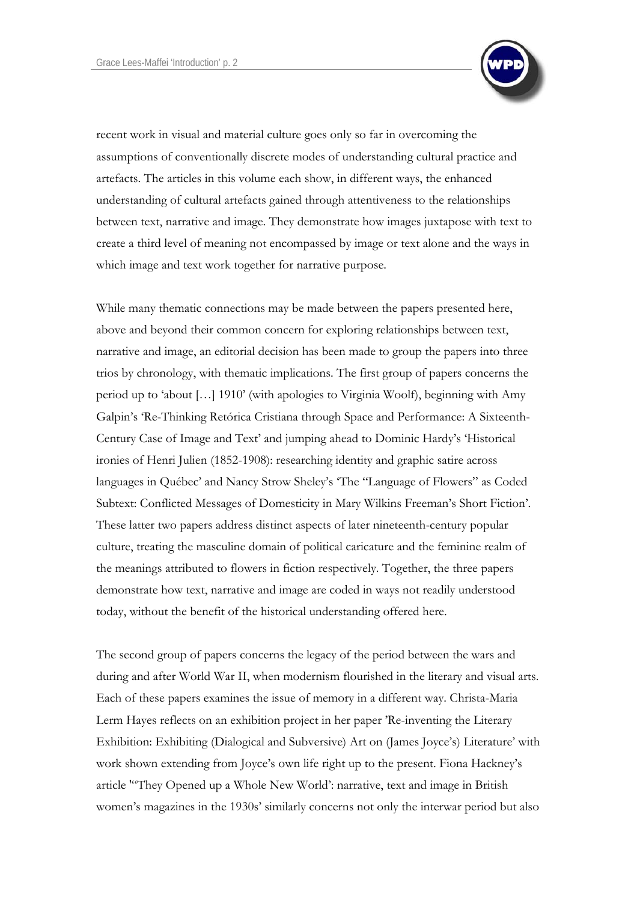

recent work in visual and material culture goes only so far in overcoming the assumptions of conventionally discrete modes of understanding cultural practice and artefacts. The articles in this volume each show, in different ways, the enhanced understanding of cultural artefacts gained through attentiveness to the relationships between text, narrative and image. They demonstrate how images juxtapose with text to create a third level of meaning not encompassed by image or text alone and the ways in which image and text work together for narrative purpose.

While many thematic connections may be made between the papers presented here, above and beyond their common concern for exploring relationships between text, narrative and image, an editorial decision has been made to group the papers into three trios by chronology, with thematic implications. The first group of papers concerns the period up to 'about […] 1910' (with apologies to Virginia Woolf), beginning with Amy Galpin's ['Re-Thinking Retórica Cristiana through Space and Performance: A Sixteenth-](http://www.herts.ac.uk/artdes1/research/papers/wpdesign/wpdvol2/galpin.pdf)[Century Case of Image and Text'](http://www.herts.ac.uk/artdes1/research/papers/wpdesign/wpdvol2/galpin.pdf) and jumping ahead to Dominic Hardy's 'Historical ironies of Henri Julien (1852-1908): researching identity and graphic satire across languages in Québec' and Nancy Strow Sheley's 'The "Language of Flowers" as Coded Subtext: Conflicted Messages of Domesticity in Mary Wilkins Freeman's Short Fiction'. These latter two papers address distinct aspects of later nineteenth-century popular culture, treating the masculine domain of political caricature and the feminine realm of the meanings attributed to flowers in fiction respectively. Together, the three papers demonstrate how text, narrative and image are coded in ways not readily understood today, without the benefit of the historical understanding offered here.

The second group of papers concerns the legacy of the period between the wars and during and after World War II, when modernism flourished in the literary and visual arts. Each of these papers examines the issue of memory in a different way. Christa-Maria Lerm Hayes reflects on an exhibition project in her paper ['Re-inventing the Literary](http://www.herts.ac.uk/artdes1/research/papers/wpdesign/wpdvol2/hayes.pdf)  [Exhibition: Exhibiting \(Dialogical and Subversive\) Art on \(James Joyce's\) Literature'](http://www.herts.ac.uk/artdes1/research/papers/wpdesign/wpdvol2/hayes.pdf) with work shown extending from Joyce's own life right up to the present. Fiona Hackney's article '"They Opened up a Whole New World': narrative, text and image in British women's magazines in the 1930s' similarly concerns not only the interwar period but also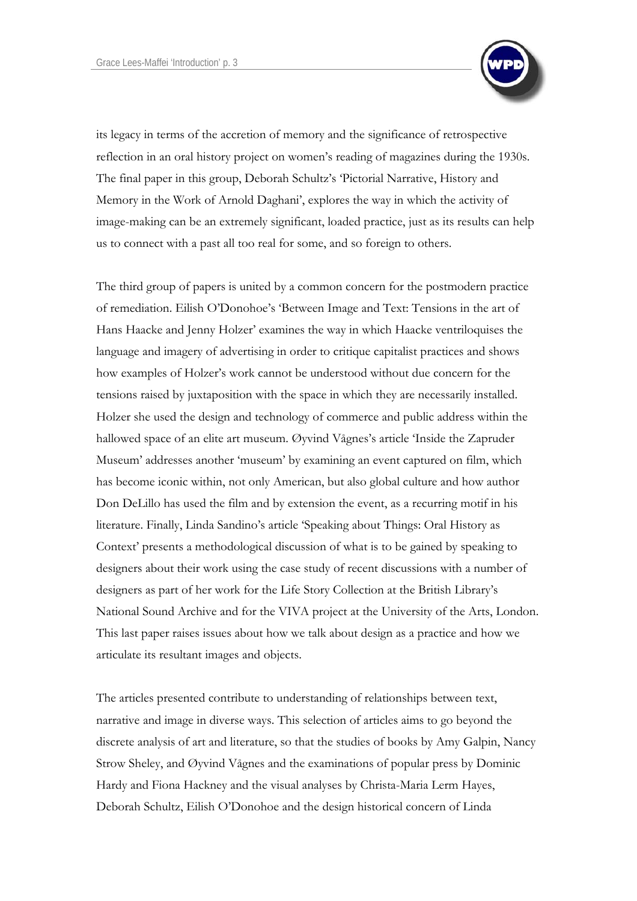

its legacy in terms of the accretion of memory and the significance of retrospective reflection in an oral history project on women's reading of magazines during the 1930s. The final paper in this group, Deborah Schultz's '[Pictorial Narrative, History and](http://www.herts.ac.uk/artdes1/research/papers/wpdesign/wpdvol2/schultz.pdf)  [Memory in the Work of Arnold Daghani](http://www.herts.ac.uk/artdes1/research/papers/wpdesign/wpdvol2/schultz.pdf)', explores the way in which the activity of image-making can be an extremely significant, loaded practice, just as its results can help us to connect with a past all too real for some, and so foreign to others.

The third group of papers is united by a common concern for the postmodern practice of remediation. Eilish O'Donohoe's '[Between Image and Text: Tensions in the art of](http://www.herts.ac.uk/artdes1/research/papers/wpdesign/wpdvol2/odonohoe.pdf)  [Hans Haacke and Jenny Holzer](http://www.herts.ac.uk/artdes1/research/papers/wpdesign/wpdvol2/odonohoe.pdf)' examines the way in which Haacke ventriloquises the language and imagery of advertising in order to critique capitalist practices and shows how examples of Holzer's work cannot be understood without due concern for the tensions raised by juxtaposition with the space in which they are necessarily installed. Holzer she used the design and technology of commerce and public address within the hallowed space of an elite art museum. Øyvind Vågnes's article 'Inside the Zapruder Museum' addresses another 'museum' by examining an event captured on film, which has become iconic within, not only American, but also global culture and how author Don DeLillo has used the film and by extension the event, as a recurring motif in his literature. Finally, Linda Sandino's article 'Speaking about Things: Oral History as Context' presents a methodological discussion of what is to be gained by speaking to designers about their work using the case study of recent discussions with a number of designers as part of her work for the Life Story Collection at the British Library's National Sound Archive and for the VIVA project at the University of the Arts, London. This last paper raises issues about how we talk about design as a practice and how we articulate its resultant images and objects.

The articles presented contribute to understanding of relationships between text, narrative and image in diverse ways. This selection of articles aims to go beyond the discrete analysis of art and literature, so that the studies of books by Amy Galpin, Nancy Strow Sheley, and Øyvind Vågnes and the examinations of popular press by Dominic Hardy and Fiona Hackney and the visual analyses by Christa-Maria Lerm Hayes, Deborah Schultz, Eilish O'Donohoe and the design historical concern of Linda